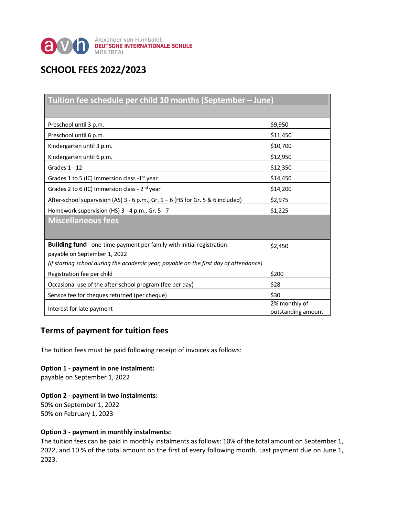

# **SCHOOL FEES 2022/2023**

| Tuition fee schedule per child 10 months (September - June)                           |                                     |
|---------------------------------------------------------------------------------------|-------------------------------------|
|                                                                                       |                                     |
| Preschool until 3 p.m.                                                                | \$9,950                             |
| Preschool until 6 p.m.                                                                | \$11,450                            |
| Kindergarten until 3 p.m.                                                             | \$10,700                            |
| Kindergarten until 6 p.m.                                                             | \$12,950                            |
| Grades 1 - 12                                                                         | \$12,350                            |
| Grades 1 to 5 (IC) Immersion class -1 <sup>st</sup> year                              | \$14,450                            |
| Grades 2 to 6 (IC) Immersion class - 2 <sup>nd</sup> year                             | \$14,200                            |
| After-school supervision (AS) 3 - 6 p.m., Gr. 1 - 6 (HS for Gr. 5 & 6 included)       | \$2,975                             |
| Homework supervision (HS) 3 - 4 p.m., Gr. 5 - 7                                       | \$1,225                             |
| <b>Miscellaneous fees</b>                                                             |                                     |
|                                                                                       |                                     |
| Building fund - one-time payment per family with initial registration:                | \$2,450                             |
| payable on September 1, 2022                                                          |                                     |
| (if starting school during the academic year, payable on the first day of attendance) |                                     |
| Registration fee per child                                                            | \$200                               |
| Occasional use of the after-school program (fee per day)                              | \$28                                |
| Service fee for cheques returned (per cheque)                                         | \$30                                |
| Interest for late payment                                                             | 2% monthly of<br>outstanding amount |

# **Terms of payment for tuition fees**

The tuition fees must be paid following receipt of invoices as follows:

## **Option 1 - payment in one instalment:**

payable on September 1, 2022

## **Option 2 - payment in two instalments:**

50% on September 1, 2022 50% on February 1, 2023

#### **Option 3 - payment in monthly instalments:**

The tuition fees can be paid in monthly instalments as follows: 10% of the total amount on September 1, 2022, and 10 % of the total amount on the first of every following month. Last payment due on June 1, 2023.